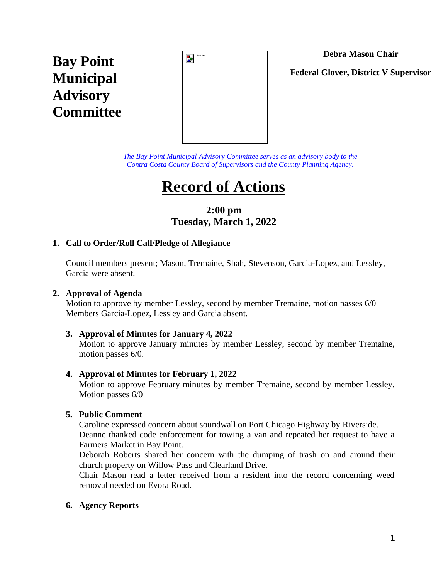# **Debra Mason Chair**

**Bay Point Municipal Advisory Committee**



**Federal Glover, District V Supervisor**

*The Bay Point Municipal Advisory Committee serves as an advisory body to the Contra Costa County Board of Supervisors and the County Planning Agency.*

# **Record of Actions**

**2:00 pm Tuesday, March 1, 2022**

# **1. Call to Order/Roll Call/Pledge of Allegiance**

Council members present; Mason, Tremaine, Shah, Stevenson, Garcia-Lopez, and Lessley, Garcia were absent.

## **2. Approval of Agenda**

Motion to approve by member Lessley, second by member Tremaine, motion passes 6/0 Members Garcia-Lopez, Lessley and Garcia absent.

#### **3. Approval of Minutes for January 4, 2022**

Motion to approve January minutes by member Lessley, second by member Tremaine, motion passes 6/0.

#### **4. Approval of Minutes for February 1, 2022**

Motion to approve February minutes by member Tremaine, second by member Lessley. Motion passes 6/0

## **5. Public Comment**

Caroline expressed concern about soundwall on Port Chicago Highway by Riverside.

Deanne thanked code enforcement for towing a van and repeated her request to have a Farmers Market in Bay Point.

Deborah Roberts shared her concern with the dumping of trash on and around their church property on Willow Pass and Clearland Drive.

Chair Mason read a letter received from a resident into the record concerning weed removal needed on Evora Road.

## **6. Agency Reports**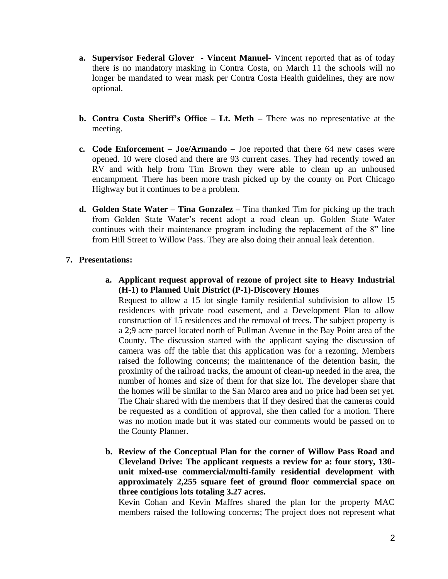- **a. Supervisor Federal Glover - Vincent Manuel-** Vincent reported that as of today there is no mandatory masking in Contra Costa, on March 11 the schools will no longer be mandated to wear mask per Contra Costa Health guidelines, they are now optional.
- **b. Contra Costa Sheriff's Office – Lt. Meth –** There was no representative at the meeting.
- **c. Code Enforcement – Joe/Armando –** Joe reported that there 64 new cases were opened. 10 were closed and there are 93 current cases. They had recently towed an RV and with help from Tim Brown they were able to clean up an unhoused encampment. There has been more trash picked up by the county on Port Chicago Highway but it continues to be a problem.
- **d. Golden State Water – Tina Gonzalez –** Tina thanked Tim for picking up the trach from Golden State Water's recent adopt a road clean up. Golden State Water continues with their maintenance program including the replacement of the 8" line from Hill Street to Willow Pass. They are also doing their annual leak detention.

## **7. Presentations:**

**a. Applicant request approval of rezone of project site to Heavy Industrial (H-1) to Planned Unit District (P-1)-Discovery Homes**

Request to allow a 15 lot single family residential subdivision to allow 15 residences with private road easement, and a Development Plan to allow construction of 15 residences and the removal of trees. The subject property is a 2;9 acre parcel located north of Pullman Avenue in the Bay Point area of the County. The discussion started with the applicant saying the discussion of camera was off the table that this application was for a rezoning. Members raised the following concerns; the maintenance of the detention basin, the proximity of the railroad tracks, the amount of clean-up needed in the area, the number of homes and size of them for that size lot. The developer share that the homes will be similar to the San Marco area and no price had been set yet. The Chair shared with the members that if they desired that the cameras could be requested as a condition of approval, she then called for a motion. There was no motion made but it was stated our comments would be passed on to the County Planner.

**b. Review of the Conceptual Plan for the corner of Willow Pass Road and Cleveland Drive: The applicant requests a review for a: four story, 130 unit mixed-use commercial/multi-family residential development with approximately 2,255 square feet of ground floor commercial space on three contigious lots totaling 3.27 acres.**

Kevin Cohan and Kevin Maffres shared the plan for the property MAC members raised the following concerns; The project does not represent what